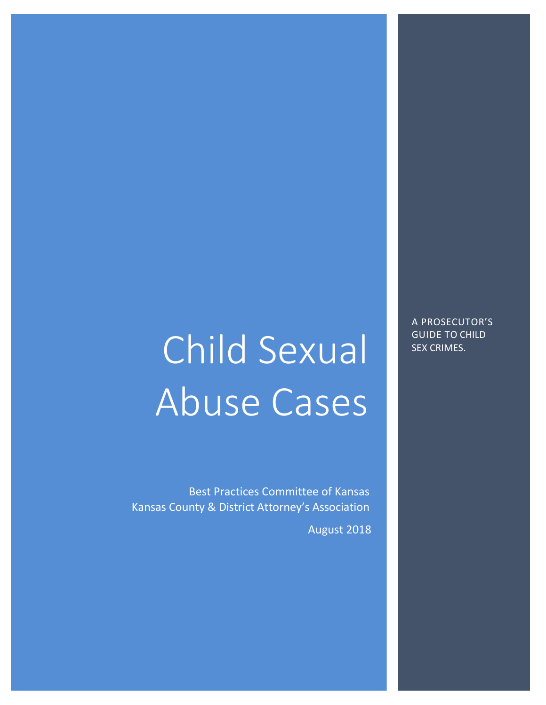# Child Sexual Abuse Cases

Best Practices Committee of Kansas Kansas County & District Attorney's Association

August 2018

A PROSECUTOR'S GUIDE TO CHILD SEX CRIMES.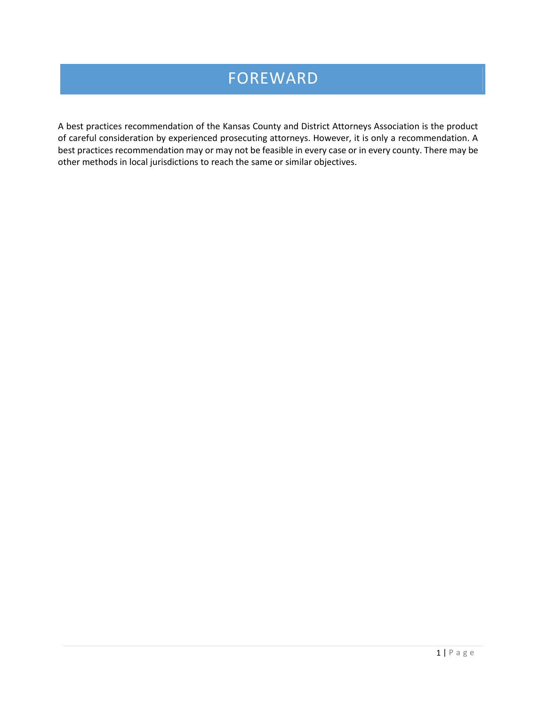## FOREWARD

A best practices recommendation of the Kansas County and District Attorneys Association is the product of careful consideration by experienced prosecuting attorneys. However, it is only a recommendation. A best practices recommendation may or may not be feasible in every case or in every county. There may be other methods in local jurisdictions to reach the same or similar objectives.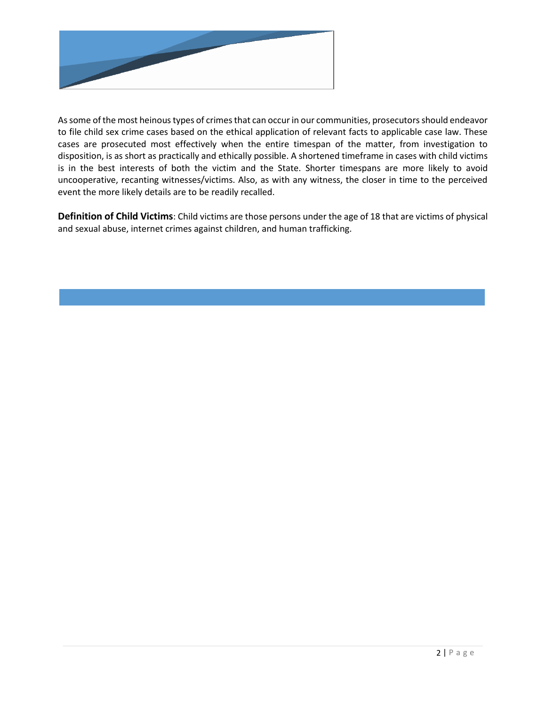

As some of the most heinous types of crimes that can occur in our communities, prosecutors should endeavor to file child sex crime cases based on the ethical application of relevant facts to applicable case law. These cases are prosecuted most effectively when the entire timespan of the matter, from investigation to disposition, is as short as practically and ethically possible. A shortened timeframe in cases with child victims is in the best interests of both the victim and the State. Shorter timespans are more likely to avoid uncooperative, recanting witnesses/victims. Also, as with any witness, the closer in time to the perceived event the more likely details are to be readily recalled.

**Definition of Child Victims**: Child victims are those persons under the age of 18 that are victims of physical and sexual abuse, internet crimes against children, and human trafficking.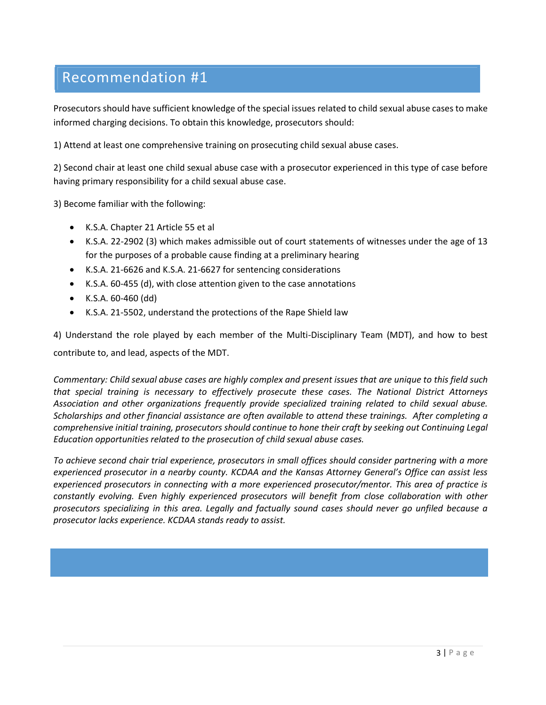Prosecutors should have sufficient knowledge of the special issues related to child sexual abuse cases to make informed charging decisions. To obtain this knowledge, prosecutors should:

1) Attend at least one comprehensive training on prosecuting child sexual abuse cases.

2) Second chair at least one child sexual abuse case with a prosecutor experienced in this type of case before having primary responsibility for a child sexual abuse case.

3) Become familiar with the following:

- K.S.A. Chapter 21 Article 55 et al
- K.S.A. 22-2902 (3) which makes admissible out of court statements of witnesses under the age of 13 for the purposes of a probable cause finding at a preliminary hearing
- K.S.A. 21-6626 and K.S.A. 21-6627 for sentencing considerations
- K.S.A. 60-455 (d), with close attention given to the case annotations
- K.S.A. 60-460 (dd)
- K.S.A. 21-5502, understand the protections of the Rape Shield law

4) Understand the role played by each member of the Multi-Disciplinary Team (MDT), and how to best contribute to, and lead, aspects of the MDT.

*Commentary: Child sexual abuse cases are highly complex and present issues that are unique to this field such that special training is necessary to effectively prosecute these cases. The National District Attorneys Association and other organizations frequently provide specialized training related to child sexual abuse. Scholarships and other financial assistance are often available to attend these trainings. After completing a comprehensive initial training, prosecutors should continue to hone their craft by seeking out Continuing Legal Education opportunities related to the prosecution of child sexual abuse cases.* 

*To achieve second chair trial experience, prosecutors in small offices should consider partnering with a more experienced prosecutor in a nearby county. KCDAA and the Kansas Attorney General's Office can assist less experienced prosecutors in connecting with a more experienced prosecutor/mentor. This area of practice is constantly evolving. Even highly experienced prosecutors will benefit from close collaboration with other prosecutors specializing in this area. Legally and factually sound cases should never go unfiled because a prosecutor lacks experience. KCDAA stands ready to assist.*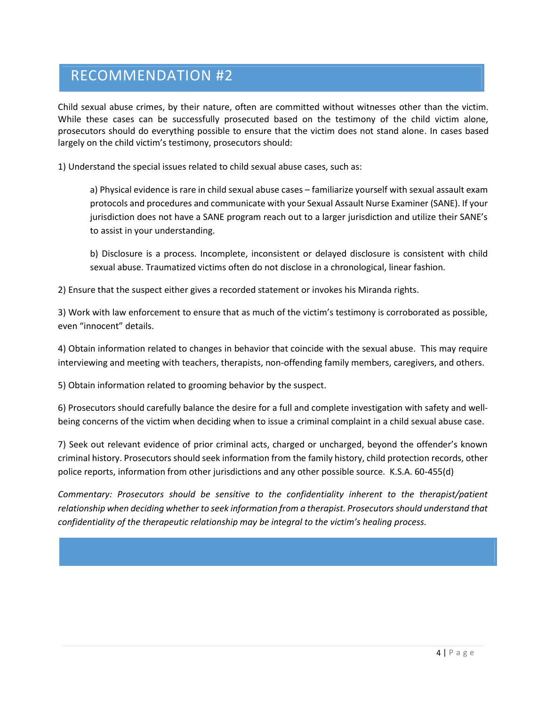#### RECOMMENDATION #2

Child sexual abuse crimes, by their nature, often are committed without witnesses other than the victim. While these cases can be successfully prosecuted based on the testimony of the child victim alone, prosecutors should do everything possible to ensure that the victim does not stand alone. In cases based largely on the child victim's testimony, prosecutors should:

1) Understand the special issues related to child sexual abuse cases, such as:

a) Physical evidence is rare in child sexual abuse cases – familiarize yourself with sexual assault exam protocols and procedures and communicate with your Sexual Assault Nurse Examiner (SANE). If your jurisdiction does not have a SANE program reach out to a larger jurisdiction and utilize their SANE's to assist in your understanding.

b) Disclosure is a process. Incomplete, inconsistent or delayed disclosure is consistent with child sexual abuse. Traumatized victims often do not disclose in a chronological, linear fashion.

2) Ensure that the suspect either gives a recorded statement or invokes his Miranda rights.

3) Work with law enforcement to ensure that as much of the victim's testimony is corroborated as possible, even "innocent" details.

4) Obtain information related to changes in behavior that coincide with the sexual abuse. This may require interviewing and meeting with teachers, therapists, non-offending family members, caregivers, and others.

5) Obtain information related to grooming behavior by the suspect.

6) Prosecutors should carefully balance the desire for a full and complete investigation with safety and wellbeing concerns of the victim when deciding when to issue a criminal complaint in a child sexual abuse case.

7) Seek out relevant evidence of prior criminal acts, charged or uncharged, beyond the offender's known criminal history. Prosecutors should seek information from the family history, child protection records, other police reports, information from other jurisdictions and any other possible source. K.S.A. 60-455(d)

*Commentary: Prosecutors should be sensitive to the confidentiality inherent to the therapist/patient relationship when deciding whether to seek information from a therapist. Prosecutors should understand that confidentiality of the therapeutic relationship may be integral to the victim's healing process.*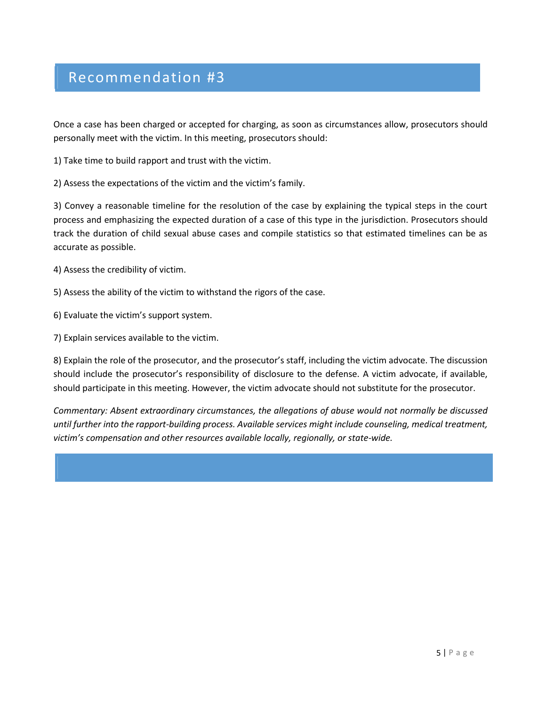Once a case has been charged or accepted for charging, as soon as circumstances allow, prosecutors should personally meet with the victim. In this meeting, prosecutors should:

1) Take time to build rapport and trust with the victim.

2) Assess the expectations of the victim and the victim's family.

3) Convey a reasonable timeline for the resolution of the case by explaining the typical steps in the court process and emphasizing the expected duration of a case of this type in the jurisdiction. Prosecutors should track the duration of child sexual abuse cases and compile statistics so that estimated timelines can be as accurate as possible.

4) Assess the credibility of victim.

5) Assess the ability of the victim to withstand the rigors of the case.

6) Evaluate the victim's support system.

7) Explain services available to the victim.

8) Explain the role of the prosecutor, and the prosecutor's staff, including the victim advocate. The discussion should include the prosecutor's responsibility of disclosure to the defense. A victim advocate, if available, should participate in this meeting. However, the victim advocate should not substitute for the prosecutor.

*Commentary: Absent extraordinary circumstances, the allegations of abuse would not normally be discussed until further into the rapport-building process. Available services might include counseling, medical treatment, victim's compensation and other resources available locally, regionally, or state-wide.*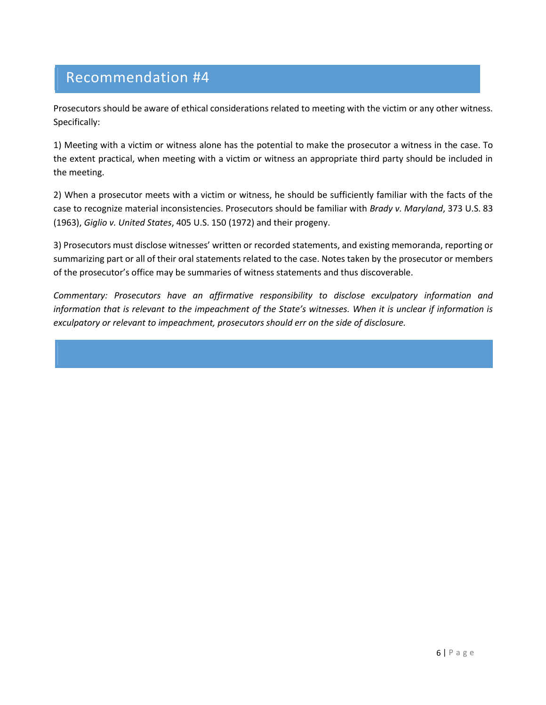Prosecutors should be aware of ethical considerations related to meeting with the victim or any other witness. Specifically:

1) Meeting with a victim or witness alone has the potential to make the prosecutor a witness in the case. To the extent practical, when meeting with a victim or witness an appropriate third party should be included in the meeting.

2) When a prosecutor meets with a victim or witness, he should be sufficiently familiar with the facts of the case to recognize material inconsistencies. Prosecutors should be familiar with *Brady v. Maryland*, 373 U.S. 83 (1963), *Giglio v. United States*, 405 U.S. 150 (1972) and their progeny.

3) Prosecutors must disclose witnesses' written or recorded statements, and existing memoranda, reporting or summarizing part or all of their oral statements related to the case. Notes taken by the prosecutor or members of the prosecutor's office may be summaries of witness statements and thus discoverable.

*Commentary: Prosecutors have an affirmative responsibility to disclose exculpatory information and information that is relevant to the impeachment of the State's witnesses. When it is unclear if information is exculpatory or relevant to impeachment, prosecutors should err on the side of disclosure.*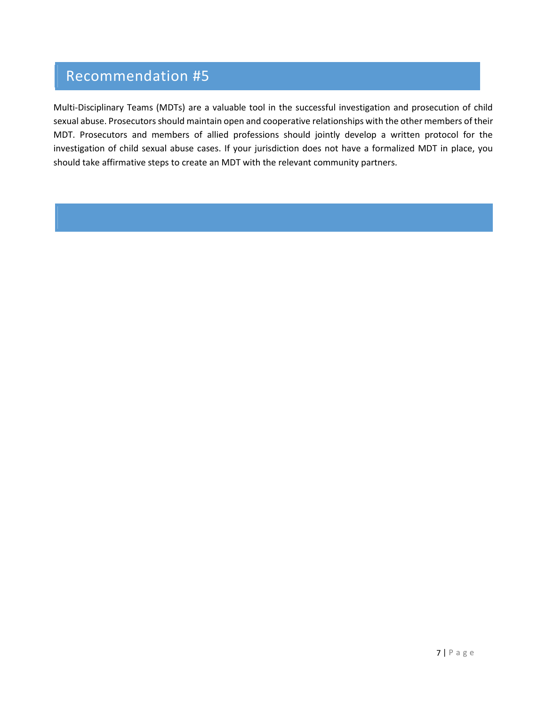Multi-Disciplinary Teams (MDTs) are a valuable tool in the successful investigation and prosecution of child sexual abuse. Prosecutors should maintain open and cooperative relationships with the other members of their MDT. Prosecutors and members of allied professions should jointly develop a written protocol for the investigation of child sexual abuse cases. If your jurisdiction does not have a formalized MDT in place, you should take affirmative steps to create an MDT with the relevant community partners.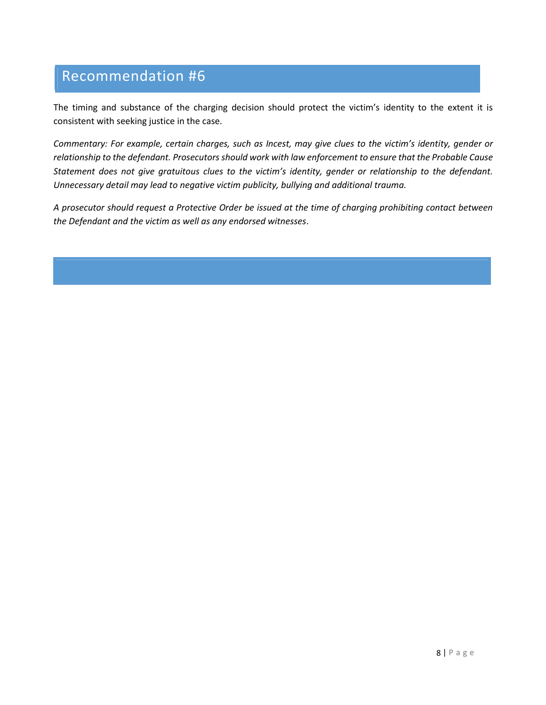The timing and substance of the charging decision should protect the victim's identity to the extent it is consistent with seeking justice in the case.

*Commentary: For example, certain charges, such as Incest, may give clues to the victim's identity, gender or relationship to the defendant. Prosecutors should work with law enforcement to ensure that the Probable Cause Statement does not give gratuitous clues to the victim's identity, gender or relationship to the defendant. Unnecessary detail may lead to negative victim publicity, bullying and additional trauma.*

*A prosecutor should request a Protective Order be issued at the time of charging prohibiting contact between the Defendant and the victim as well as any endorsed witnesses*.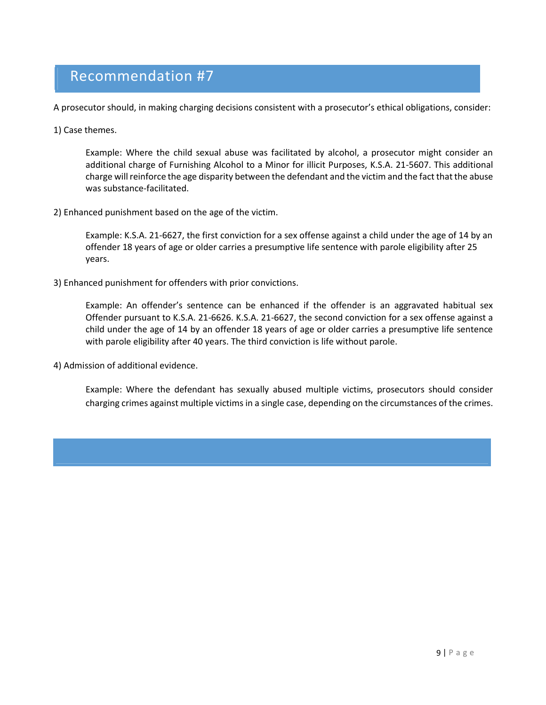A prosecutor should, in making charging decisions consistent with a prosecutor's ethical obligations, consider:

1) Case themes.

Example: Where the child sexual abuse was facilitated by alcohol, a prosecutor might consider an additional charge of Furnishing Alcohol to a Minor for illicit Purposes, K.S.A. 21-5607. This additional charge will reinforce the age disparity between the defendant and the victim and the fact that the abuse was substance-facilitated.

2) Enhanced punishment based on the age of the victim.

Example: K.S.A. 21-6627, the first conviction for a sex offense against a child under the age of 14 by an offender 18 years of age or older carries a presumptive life sentence with parole eligibility after 25 years.

3) Enhanced punishment for offenders with prior convictions.

Example: An offender's sentence can be enhanced if the offender is an aggravated habitual sex Offender pursuant to K.S.A. 21-6626. K.S.A. 21-6627, the second conviction for a sex offense against a child under the age of 14 by an offender 18 years of age or older carries a presumptive life sentence with parole eligibility after 40 years. The third conviction is life without parole.

4) Admission of additional evidence.

Example: Where the defendant has sexually abused multiple victims, prosecutors should consider charging crimes against multiple victims in a single case, depending on the circumstances of the crimes.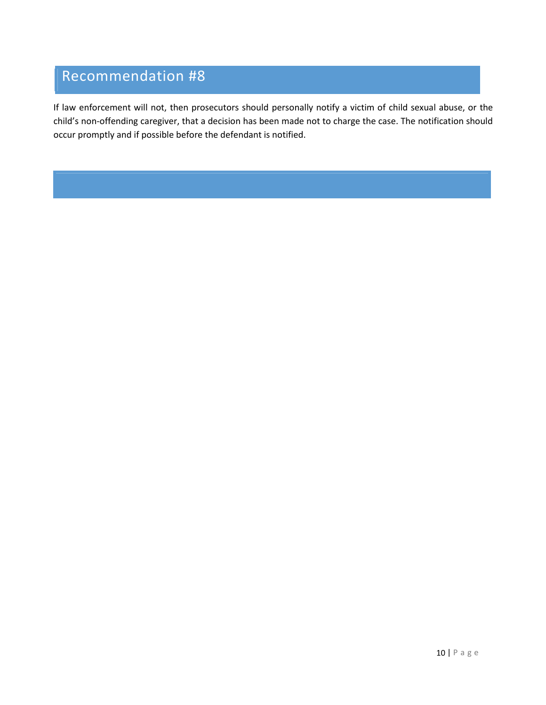If law enforcement will not, then prosecutors should personally notify a victim of child sexual abuse, or the child's non-offending caregiver, that a decision has been made not to charge the case. The notification should occur promptly and if possible before the defendant is notified.